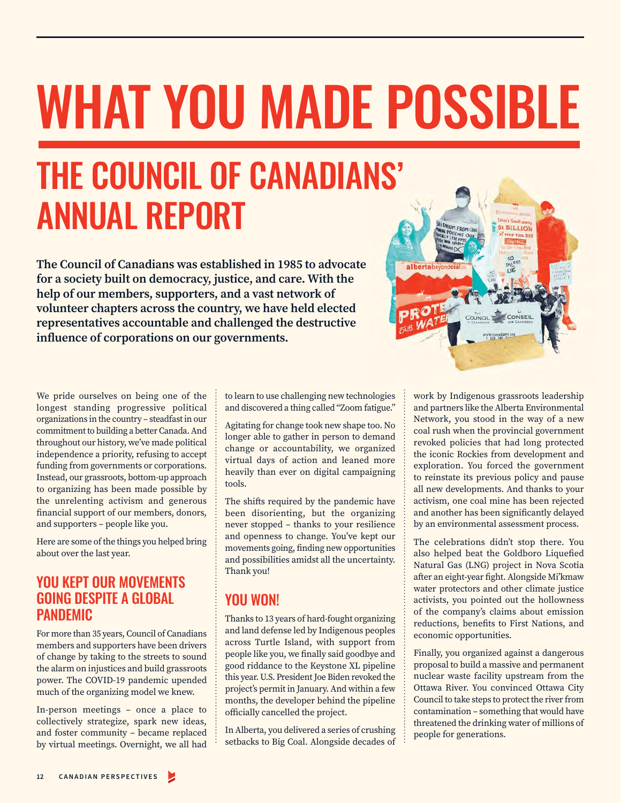# WHAT YOU MADE POSSIBLE

# THE COUNCIL OF CANADIANS' ANNUAL REPORT

**The Council of Canadians was established in 1985 to advocate for a society built on democracy, justice, and care. With the help of our members, supporters, and a vast network of volunteer chapters across the country, we have held elected representatives accountable and challenged the destructive influence of corporations on our governments.**



We pride ourselves on being one of the longest standing progressive political organizations in the country – steadfast in our commitment to building a better Canada. And throughout our history, we've made political independence a priority, refusing to accept funding from governments or corporations. Instead, our grassroots, bottom-up approach to organizing has been made possible by the unrelenting activism and generous financial support of our members, donors, and supporters – people like you.

Here are some of the things you helped bring about over the last year.

# YOU KEPT OUR MOVEMENTS GOING DESPITE A GLOBAL **PANDEMIC**

For more than 35 years, Council of Canadians members and supporters have been drivers of change by taking to the streets to sound the alarm on injustices and build grassroots power. The COVID-19 pandemic upended much of the organizing model we knew.

In-person meetings – once a place to collectively strategize, spark new ideas, and foster community – became replaced by virtual meetings. Overnight, we all had

to learn to use challenging new technologies and discovered a thing called "Zoom fatigue."

Agitating for change took new shape too. No longer able to gather in person to demand change or accountability, we organized virtual days of action and leaned more heavily than ever on digital campaigning tools.

The shifts required by the pandemic have been disorienting, but the organizing never stopped – thanks to your resilience and openness to change. You've kept our movements going, finding new opportunities and possibilities amidst all the uncertainty. Thank you!

# YOU WON!

Thanks to 13 years of hard-fought organizing and land defense led by Indigenous peoples across Turtle Island, with support from people like you, we finally said goodbye and good riddance to the Keystone XL pipeline this year. U.S. President Joe Biden revoked the project's permit in January. And within a few months, the developer behind the pipeline officially cancelled the project.

In Alberta, you delivered a series of crushing setbacks to Big Coal. Alongside decades of work by Indigenous grassroots leadership and partners like the Alberta Environmental Network, you stood in the way of a new coal rush when the provincial government revoked policies that had long protected the iconic Rockies from development and exploration. You forced the government to reinstate its previous policy and pause all new developments. And thanks to your activism, one coal mine has been rejected and another has been significantly delayed by an environmental assessment process.

The celebrations didn't stop there. You also helped beat the Goldboro Liquefied Natural Gas (LNG) project in Nova Scotia after an eight-year fight. Alongside Mi'kmaw water protectors and other climate justice activists, you pointed out the hollowness of the company's claims about emission reductions, benefits to First Nations, and economic opportunities.

Finally, you organized against a dangerous proposal to build a massive and permanent nuclear waste facility upstream from the Ottawa River. You convinced Ottawa City Council to take steps to protect the river from contamination – something that would have threatened the drinking water of millions of people for generations.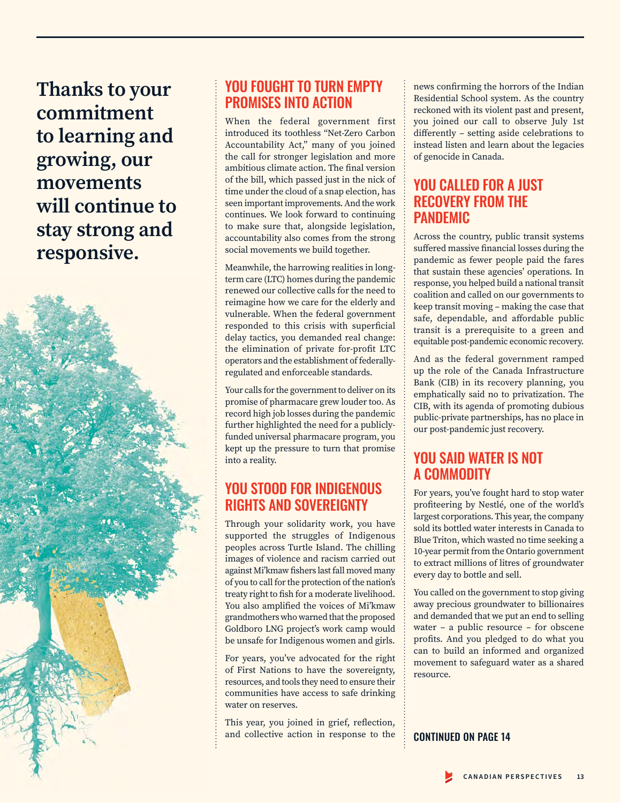**Thanks to your commitment to learning and growing, our movements will continue to stay strong and responsive.**



# YOU FOUGHT TO TURN EMPTY PROMISES INTO ACTION

When the federal government first introduced its toothless "Net-Zero Carbon Accountability Act," many of you joined the call for stronger legislation and more ambitious climate action. The final version of the bill, which passed just in the nick of time under the cloud of a snap election, has seen important improvements. And the work continues. We look forward to continuing to make sure that, alongside legislation, accountability also comes from the strong social movements we build together.

Meanwhile, the harrowing realities in longterm care (LTC) homes during the pandemic renewed our collective calls for the need to reimagine how we care for the elderly and vulnerable. When the federal government responded to this crisis with superficial delay tactics, you demanded real change: the elimination of private for-profit LTC operators and the establishment of federallyregulated and enforceable standards.

Your calls for the government to deliver on its promise of pharmacare grew louder too. As record high job losses during the pandemic further highlighted the need for a publiclyfunded universal pharmacare program, you kept up the pressure to turn that promise into a reality.

# YOU STOOD FOR INDIGENOUS RIGHTS AND SOVEREIGNTY

Through your solidarity work, you have supported the struggles of Indigenous peoples across Turtle Island. The chilling images of violence and racism carried out against Mi'kmaw fishers last fall moved many of you to call for the protection of the nation's treaty right to fish for a moderate livelihood. You also amplified the voices of Mi'kmaw grandmothers who warned that the proposed Goldboro LNG project's work camp would be unsafe for Indigenous women and girls.

For years, you've advocated for the right of First Nations to have the sovereignty, resources, and tools they need to ensure their communities have access to safe drinking water on reserves.

This year, you joined in grief, reflection, and collective action in response to the news confirming the horrors of the Indian Residential School system. As the country reckoned with its violent past and present, you joined our call to observe July 1st differently – setting aside celebrations to instead listen and learn about the legacies of genocide in Canada.

# YOU CALLED FOR A JUST RECOVERY FROM THE PANDEMIC

Across the country, public transit systems suffered massive financial losses during the pandemic as fewer people paid the fares that sustain these agencies' operations. In response, you helped build a national transit coalition and called on our governments to keep transit moving – making the case that safe, dependable, and affordable public transit is a prerequisite to a green and equitable post-pandemic economic recovery.

And as the federal government ramped up the role of the Canada Infrastructure Bank (CIB) in its recovery planning, you emphatically said no to privatization. The CIB, with its agenda of promoting dubious public-private partnerships, has no place in our post-pandemic just recovery.

# YOU SAID WATER IS NOT A COMMODITY

For years, you've fought hard to stop water profiteering by Nestlé, one of the world's largest corporations. This year, the company sold its bottled water interests in Canada to Blue Triton, which wasted no time seeking a 10-year permit from the Ontario government to extract millions of litres of groundwater every day to bottle and sell.

You called on the government to stop giving away precious groundwater to billionaires and demanded that we put an end to selling water – a public resource – for obscene profits. And you pledged to do what you can to build an informed and organized movement to safeguard water as a shared resource.

#### CONTINUED ON PAGE 14